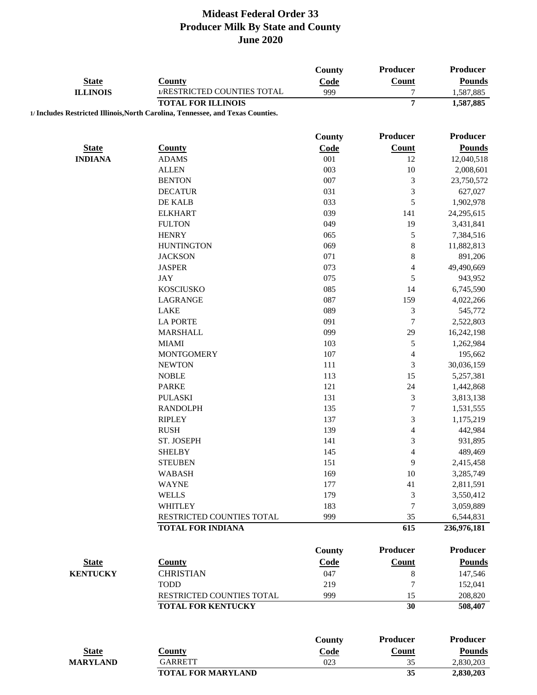|                 |                                                                                 | <b>County</b> | Producer                 | Producer        |
|-----------------|---------------------------------------------------------------------------------|---------------|--------------------------|-----------------|
| <b>State</b>    | <b>County</b>                                                                   | Code          | Count                    | <b>Pounds</b>   |
| <b>ILLINOIS</b> | 1/RESTRICTED COUNTIES TOTAL                                                     | 999           | 7                        | 1,587,885       |
|                 | <b>TOTAL FOR ILLINOIS</b>                                                       |               | 7                        | 1,587,885       |
|                 | 1/ Includes Restricted Illinois, North Carolina, Tennessee, and Texas Counties. |               |                          |                 |
|                 |                                                                                 |               |                          |                 |
|                 |                                                                                 | <b>County</b> | Producer                 | Producer        |
| <b>State</b>    | <b>County</b>                                                                   | Code          | <b>Count</b>             | <b>Pounds</b>   |
| <b>INDIANA</b>  | <b>ADAMS</b>                                                                    | 001           | 12                       | 12,040,518      |
|                 | <b>ALLEN</b>                                                                    | 003           | 10                       | 2,008,601       |
|                 | <b>BENTON</b>                                                                   | 007           | 3                        | 23,750,572      |
|                 | <b>DECATUR</b>                                                                  | 031           | 3                        | 627,027         |
|                 | DE KALB                                                                         | 033           | 5                        | 1,902,978       |
|                 | <b>ELKHART</b>                                                                  | 039           | 141                      | 24,295,615      |
|                 | <b>FULTON</b>                                                                   | 049           | 19                       | 3,431,841       |
|                 | <b>HENRY</b>                                                                    | 065           | 5                        | 7,384,516       |
|                 | <b>HUNTINGTON</b>                                                               | 069           | 8                        | 11,882,813      |
|                 | <b>JACKSON</b>                                                                  | 071           | $\,$ 8 $\,$              | 891,206         |
|                 | <b>JASPER</b>                                                                   | 073           | $\overline{\mathcal{L}}$ | 49,490,669      |
|                 | <b>JAY</b>                                                                      | 075           | 5                        | 943,952         |
|                 | <b>KOSCIUSKO</b>                                                                | 085           | 14                       | 6,745,590       |
|                 | LAGRANGE                                                                        | 087           | 159                      | 4,022,266       |
|                 | LAKE                                                                            | 089           | 3                        | 545,772         |
|                 | <b>LA PORTE</b>                                                                 | 091           | $\overline{7}$           | 2,522,803       |
|                 | <b>MARSHALL</b>                                                                 | 099           | 29                       | 16,242,198      |
|                 | <b>MIAMI</b>                                                                    | 103           | 5                        | 1,262,984       |
|                 | <b>MONTGOMERY</b>                                                               | 107           | $\overline{\mathcal{L}}$ | 195,662         |
|                 | <b>NEWTON</b>                                                                   | 111           | 3                        | 30,036,159      |
|                 | <b>NOBLE</b>                                                                    | 113           | 15                       | 5,257,381       |
|                 | <b>PARKE</b>                                                                    | 121           | 24                       | 1,442,868       |
|                 | <b>PULASKI</b>                                                                  | 131           | 3                        | 3,813,138       |
|                 | <b>RANDOLPH</b>                                                                 | 135           | $\overline{7}$           | 1,531,555       |
|                 | <b>RIPLEY</b>                                                                   | 137           | 3                        | 1,175,219       |
|                 | <b>RUSH</b>                                                                     | 139           | $\overline{\mathcal{L}}$ | 442,984         |
|                 | ST. JOSEPH                                                                      | 141           | 3                        | 931,895         |
|                 | <b>SHELBY</b>                                                                   | 145           | $\overline{4}$           | 489,469         |
|                 | <b>STEUBEN</b>                                                                  | 151           | 9                        | 2,415,458       |
|                 | <b>WABASH</b>                                                                   | 169           | 10                       | 3,285,749       |
|                 | <b>WAYNE</b>                                                                    | 177           | 41                       | 2,811,591       |
|                 | <b>WELLS</b>                                                                    | 179           | 3                        | 3,550,412       |
|                 | <b>WHITLEY</b>                                                                  | 183           | 7                        | 3,059,889       |
|                 | RESTRICTED COUNTIES TOTAL                                                       | 999           | 35                       | 6,544,831       |
|                 | <b>TOTAL FOR INDIANA</b>                                                        |               | 615                      | 236,976,181     |
|                 |                                                                                 |               |                          |                 |
|                 |                                                                                 | County        | <b>Producer</b>          | <b>Producer</b> |
| <b>State</b>    | <b>County</b>                                                                   | Code          | <b>Count</b>             | <b>Pounds</b>   |
| <b>KENTUCKY</b> | <b>CHRISTIAN</b>                                                                | 047           | 8                        | 147,546         |
|                 | <b>TODD</b>                                                                     | 219           | 7                        | 152,041         |
|                 | RESTRICTED COUNTIES TOTAL                                                       | 999           | 15                       | 208,820         |
|                 | <b>TOTAL FOR KENTUCKY</b>                                                       |               | 30                       | 508,407         |
|                 |                                                                                 |               |                          |                 |
|                 |                                                                                 | <b>County</b> | <b>Producer</b>          | <b>Producer</b> |
| <b>State</b>    | <b>County</b>                                                                   | Code          | <b>Count</b>             | <b>Pounds</b>   |
| <b>MARYLAND</b> | <b>GARRETT</b>                                                                  | 023           | 35                       | 2,830,203       |
|                 | <b>TOTAL FOR MARYLAND</b>                                                       |               | 35                       | 2,830,203       |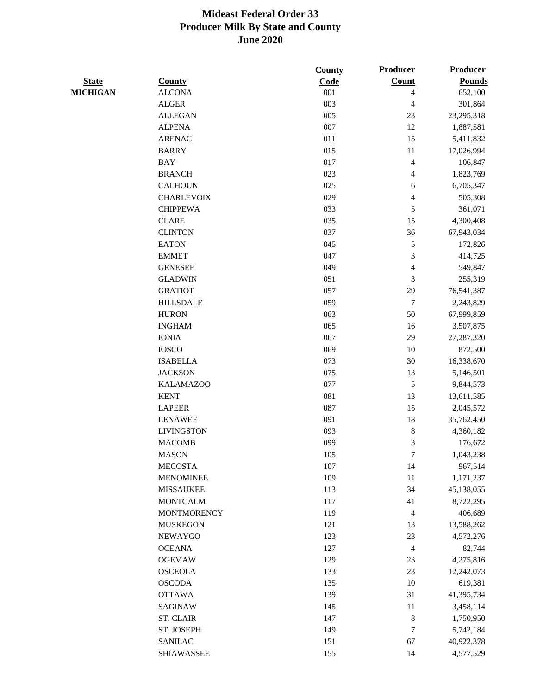|                 |                    | <b>County</b> | Producer         | <b>Producer</b> |
|-----------------|--------------------|---------------|------------------|-----------------|
| <b>State</b>    | <b>County</b>      | Code          | <b>Count</b>     | <b>Pounds</b>   |
| <b>MICHIGAN</b> | <b>ALCONA</b>      | 001           | 4                | 652,100         |
|                 | <b>ALGER</b>       | 003           | 4                | 301,864         |
|                 | <b>ALLEGAN</b>     | 005           | 23               | 23,295,318      |
|                 | <b>ALPENA</b>      | 007           | 12               | 1,887,581       |
|                 | <b>ARENAC</b>      | 011           | 15               | 5,411,832       |
|                 | <b>BARRY</b>       | 015           | 11               | 17,026,994      |
|                 | <b>BAY</b>         | 017           | $\overline{4}$   | 106,847         |
|                 | <b>BRANCH</b>      | 023           | 4                | 1,823,769       |
|                 | <b>CALHOUN</b>     | 025           | 6                | 6,705,347       |
|                 | <b>CHARLEVOIX</b>  | 029           | 4                | 505,308         |
|                 | <b>CHIPPEWA</b>    | 033           | 5                | 361,071         |
|                 | <b>CLARE</b>       | 035           | 15               | 4,300,408       |
|                 | <b>CLINTON</b>     | 037           | 36               | 67,943,034      |
|                 | <b>EATON</b>       | 045           | $\sqrt{5}$       | 172,826         |
|                 | <b>EMMET</b>       | 047           | 3                | 414,725         |
|                 | <b>GENESEE</b>     | 049           | $\overline{4}$   | 549,847         |
|                 | <b>GLADWIN</b>     | 051           | 3                | 255,319         |
|                 | <b>GRATIOT</b>     | 057           | 29               | 76,541,387      |
|                 | <b>HILLSDALE</b>   | 059           | $\boldsymbol{7}$ | 2,243,829       |
|                 | <b>HURON</b>       | 063           | 50               | 67,999,859      |
|                 | <b>INGHAM</b>      | 065           | 16               | 3,507,875       |
|                 | <b>IONIA</b>       | 067           | 29               | 27,287,320      |
|                 | <b>IOSCO</b>       | 069           | 10               | 872,500         |
|                 | <b>ISABELLA</b>    | 073           | 30               | 16,338,670      |
|                 | <b>JACKSON</b>     | 075           | 13               |                 |
|                 | <b>KALAMAZOO</b>   | 077           | 5                | 5,146,501       |
|                 | <b>KENT</b>        | 081           | 13               | 9,844,573       |
|                 | <b>LAPEER</b>      |               |                  | 13,611,585      |
|                 |                    | 087           | 15               | 2,045,572       |
|                 | <b>LENAWEE</b>     | 091           | 18               | 35,762,450      |
|                 | <b>LIVINGSTON</b>  | 093           | $\,8\,$          | 4,360,182       |
|                 | <b>MACOMB</b>      | 099           | 3                | 176,672         |
|                 | <b>MASON</b>       | 105           | $\boldsymbol{7}$ | 1,043,238       |
|                 | <b>MECOSTA</b>     | 107           | 14               | 967,514         |
|                 | <b>MENOMINEE</b>   | 109           | 11               | 1,171,237       |
|                 | <b>MISSAUKEE</b>   | 113           | 34               | 45,138,055      |
|                 | <b>MONTCALM</b>    | 117           | 41               | 8,722,295       |
|                 | <b>MONTMORENCY</b> | 119           | $\overline{4}$   | 406,689         |
|                 | <b>MUSKEGON</b>    | 121           | 13               | 13,588,262      |
|                 | <b>NEWAYGO</b>     | 123           | 23               | 4,572,276       |
|                 | <b>OCEANA</b>      | 127           | $\overline{4}$   | 82,744          |
|                 | <b>OGEMAW</b>      | 129           | 23               | 4,275,816       |
|                 | <b>OSCEOLA</b>     | 133           | 23               | 12,242,073      |
|                 | <b>OSCODA</b>      | 135           | 10               | 619,381         |
|                 | <b>OTTAWA</b>      | 139           | 31               | 41,395,734      |
|                 | <b>SAGINAW</b>     | 145           | 11               | 3,458,114       |
|                 | ST. CLAIR          | 147           | $\,8\,$          | 1,750,950       |
|                 | ST. JOSEPH         | 149           | 7                | 5,742,184       |
|                 | <b>SANILAC</b>     | 151           | 67               | 40,922,378      |
|                 | <b>SHIAWASSEE</b>  | 155           | 14               | 4,577,529       |
|                 |                    |               |                  |                 |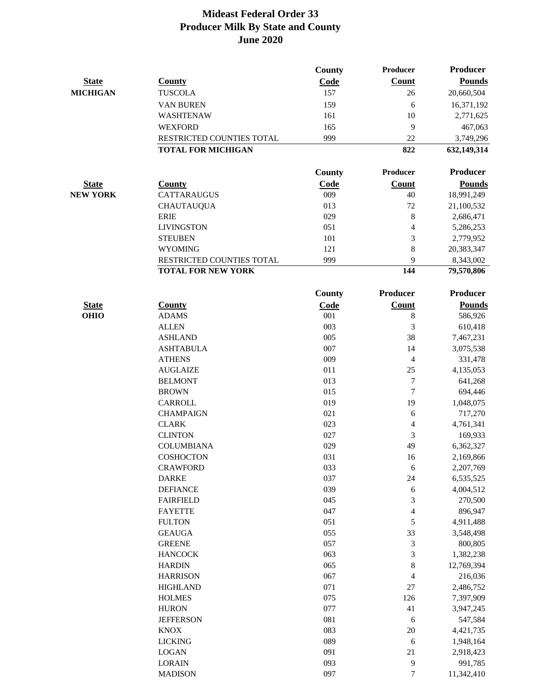|                 |                           | County | <b>Producer</b> | <b>Producer</b> |
|-----------------|---------------------------|--------|-----------------|-----------------|
| <b>State</b>    | <b>County</b>             | Code   | Count           | <b>Pounds</b>   |
| <b>MICHIGAN</b> | <b>TUSCOLA</b>            | 157    | 26              | 20,660,504      |
|                 | VAN BUREN                 | 159    | 6               | 16,371,192      |
|                 | WASHTENAW                 | 161    | 10              | 2,771,625       |
|                 | <b>WEXFORD</b>            | 165    | 9               | 467,063         |
|                 | RESTRICTED COUNTIES TOTAL | 999    | 22              | 3,749,296       |
|                 | <b>TOTAL FOR MICHIGAN</b> |        | 822             | 632,149,314     |
|                 |                           |        |                 |                 |
|                 |                           | County | Producer        | <b>Producer</b> |
| <b>State</b>    | <b>County</b>             | Code   | <b>Count</b>    | <b>Pounds</b>   |
| <b>NEW YORK</b> | <b>CATTARAUGUS</b>        | 009    | 40              | 18,991,249      |
|                 | <b>CHAUTAUQUA</b>         | 013    | 72              | 21,100,532      |
|                 | <b>ERIE</b>               | 029    | $\,8\,$         | 2,686,471       |
|                 | <b>LIVINGSTON</b>         | 051    | 4               | 5,286,253       |
|                 | <b>STEUBEN</b>            | 101    | 3               | 2,779,952       |
|                 | <b>WYOMING</b>            | 121    | 8               | 20,383,347      |
|                 | RESTRICTED COUNTIES TOTAL | 999    | 9               | 8,343,002       |
|                 | <b>TOTAL FOR NEW YORK</b> |        | 144             | 79,570,806      |
|                 |                           | County | Producer        | <b>Producer</b> |
| <b>State</b>    | <b>County</b>             | Code   | <b>Count</b>    | <b>Pounds</b>   |
| <b>OHIO</b>     | <b>ADAMS</b>              | 001    | $\,8\,$         | 586,926         |
|                 | <b>ALLEN</b>              | 003    | 3               | 610,418         |
|                 | <b>ASHLAND</b>            | 005    | 38              | 7,467,231       |
|                 | <b>ASHTABULA</b>          | 007    | 14              | 3,075,538       |
|                 | <b>ATHENS</b>             | 009    | 4               | 331,478         |
|                 | <b>AUGLAIZE</b>           | 011    | 25              | 4,135,053       |
|                 | <b>BELMONT</b>            | 013    | 7               | 641,268         |
|                 | <b>BROWN</b>              | 015    | $\tau$          | 694,446         |
|                 | <b>CARROLL</b>            | 019    | 19              | 1,048,075       |
|                 | <b>CHAMPAIGN</b>          | 021    | 6               | 717,270         |
|                 | <b>CLARK</b>              | 023    | $\overline{4}$  | 4,761,341       |
|                 | <b>CLINTON</b>            | 027    | 3               | 169,933         |
|                 | <b>COLUMBIANA</b>         | 029    | 49              | 6,362,327       |
|                 | COSHOCTON                 | 031    | 16              | 2,169,866       |
|                 | <b>CRAWFORD</b>           | 033    | 6               | 2,207,769       |
|                 | <b>DARKE</b>              | 037    | $24\,$          | 6,535,525       |
|                 | <b>DEFIANCE</b>           | 039    | 6               | 4,004,512       |
|                 | <b>FAIRFIELD</b>          | 045    | 3               | 270,500         |
|                 | <b>FAYETTE</b>            | 047    | 4               | 896,947         |
|                 | <b>FULTON</b>             | 051    | 5               | 4,911,488       |
|                 | <b>GEAUGA</b>             | 055    | 33              | 3,548,498       |
|                 | <b>GREENE</b>             | 057    | 3               | 800,805         |
|                 | <b>HANCOCK</b>            | 063    | 3               | 1,382,238       |
|                 | <b>HARDIN</b>             | 065    | $\,8\,$         | 12,769,394      |
|                 | <b>HARRISON</b>           | 067    | 4               | 216,036         |
|                 | <b>HIGHLAND</b>           | 071    | $27\,$          | 2,486,752       |
|                 | <b>HOLMES</b>             | 075    | 126             | 7,397,909       |
|                 | <b>HURON</b>              | 077    | 41              | 3,947,245       |
|                 | <b>JEFFERSON</b>          | 081    | 6               | 547,584         |
|                 | <b>KNOX</b>               | 083    | 20              | 4,421,735       |
|                 | <b>LICKING</b>            | 089    | 6               | 1,948,164       |
|                 | <b>LOGAN</b>              | 091    | 21              | 2,918,423       |
|                 | <b>LORAIN</b>             | 093    | 9               | 991,785         |
|                 | <b>MADISON</b>            | 097    | 7               | 11,342,410      |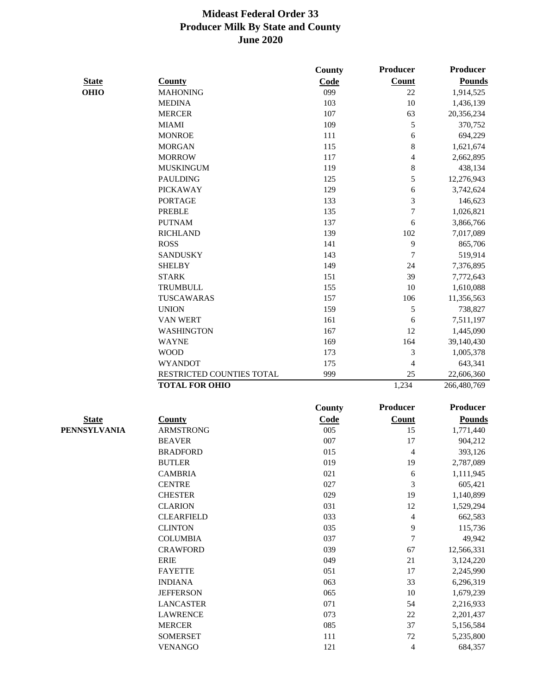|              |                           | <b>County</b> | Producer                 | <b>Producer</b> |
|--------------|---------------------------|---------------|--------------------------|-----------------|
| <b>State</b> | <b>County</b>             | Code          | <b>Count</b>             | <b>Pounds</b>   |
| <b>OHIO</b>  | <b>MAHONING</b>           | 099           | 22                       | 1,914,525       |
|              | <b>MEDINA</b>             | 103           | 10                       | 1,436,139       |
|              | <b>MERCER</b>             | 107           | 63                       | 20,356,234      |
|              | <b>MIAMI</b>              | 109           | 5                        | 370,752         |
|              | <b>MONROE</b>             | 111           | 6                        | 694,229         |
|              | <b>MORGAN</b>             | 115           | 8                        | 1,621,674       |
|              | <b>MORROW</b>             | 117           | $\overline{\mathcal{L}}$ | 2,662,895       |
|              | <b>MUSKINGUM</b>          | 119           | 8                        | 438,134         |
|              | <b>PAULDING</b>           | 125           | 5                        | 12,276,943      |
|              | <b>PICKAWAY</b>           | 129           | 6                        | 3,742,624       |
|              | <b>PORTAGE</b>            | 133           | 3                        | 146,623         |
|              | <b>PREBLE</b>             | 135           | $\overline{7}$           | 1,026,821       |
|              | <b>PUTNAM</b>             | 137           | 6                        | 3,866,766       |
|              | <b>RICHLAND</b>           | 139           | 102                      | 7,017,089       |
|              | <b>ROSS</b>               | 141           | 9                        | 865,706         |
|              | <b>SANDUSKY</b>           | 143           | 7                        | 519,914         |
|              | <b>SHELBY</b>             | 149           | 24                       | 7,376,895       |
|              | <b>STARK</b>              | 151           | 39                       | 7,772,643       |
|              | <b>TRUMBULL</b>           | 155           | 10                       | 1,610,088       |
|              | TUSCAWARAS                | 157           | 106                      | 11,356,563      |
|              | <b>UNION</b>              | 159           | 5                        | 738,827         |
|              | <b>VAN WERT</b>           | 161           | 6                        | 7,511,197       |
|              | <b>WASHINGTON</b>         | 167           | 12                       | 1,445,090       |
|              | <b>WAYNE</b>              | 169           | 164                      | 39,140,430      |
|              | <b>WOOD</b>               | 173           | 3                        | 1,005,378       |
|              | <b>WYANDOT</b>            | 175           | 4                        | 643,341         |
|              | RESTRICTED COUNTIES TOTAL | 999           | 25                       | 22,606,360      |
|              | <b>TOTAL FOR OHIO</b>     |               | 1,234                    | 266,480,769     |
|              |                           | <b>County</b> | Producer                 | <b>Producer</b> |
| <b>State</b> | <b>County</b>             | Code          | <b>Count</b>             | <b>Pounds</b>   |
| PENNSYLVANIA | <b>ARMSTRONG</b>          | 005           | 15                       | 1,771,440       |
|              | <b>BEAVER</b>             | 007           | 17                       | 904,212         |
|              | <b>BRADFORD</b>           | 015           | 4                        | 393,126         |
|              | <b>BUTLER</b>             | 019           | 19                       | 2,787,089       |
|              | <b>CAMBRIA</b>            | 021           | 6                        | 1,111,945       |
|              | <b>CENTRE</b>             | 027           | $\mathfrak{Z}$           | 605,421         |
|              | <b>CHESTER</b>            | 029           | 19                       | 1,140,899       |
|              | <b>CLARION</b>            | 031           | 12                       | 1,529,294       |
|              | <b>CLEARFIELD</b>         | 033           | $\overline{\mathbf{4}}$  | 662,583         |
|              | <b>CLINTON</b>            | 035           | 9                        | 115,736         |
|              | <b>COLUMBIA</b>           | 037           | $\boldsymbol{7}$         | 49,942          |
|              | <b>CRAWFORD</b>           | 039           | 67                       | 12,566,331      |
|              | <b>ERIE</b>               | 049           | 21                       | 3,124,220       |
|              | <b>FAYETTE</b>            | 051           | 17                       | 2,245,990       |
|              | <b>INDIANA</b>            | 063           | 33                       | 6,296,319       |
|              | <b>JEFFERSON</b>          | 065           | 10                       | 1,679,239       |
|              | <b>LANCASTER</b>          | 071           | 54                       | 2,216,933       |
|              | <b>LAWRENCE</b>           | 073           | $22\,$                   | 2,201,437       |
|              | <b>MERCER</b>             | 085           | 37                       | 5,156,584       |
|              | <b>SOMERSET</b>           | 111           | $72\,$                   | 5,235,800       |
|              | <b>VENANGO</b>            | 121           | $\overline{\mathbf{4}}$  | 684,357         |